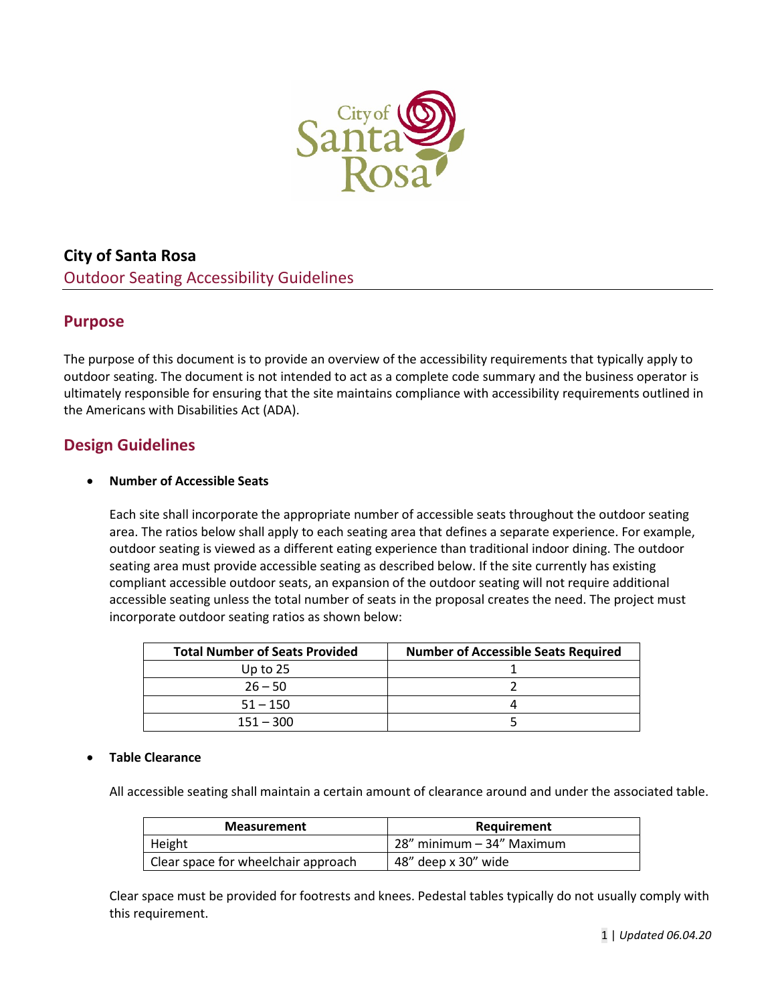

# **City of Santa Rosa**  Outdoor Seating Accessibility Guidelines

### **Purpose**

The purpose of this document is to provide an overview of the accessibility requirements that typically apply to outdoor seating. The document is not intended to act as a complete code summary and the business operator is ultimately responsible for ensuring that the site maintains compliance with accessibility requirements outlined in the Americans with Disabilities Act (ADA).

## **Design Guidelines**

#### • **Number of Accessible Seats**

Each site shall incorporate the appropriate number of accessible seats throughout the outdoor seating area. The ratios below shall apply to each seating area that defines a separate experience. For example, outdoor seating is viewed as a different eating experience than traditional indoor dining. The outdoor seating area must provide accessible seating as described below. If the site currently has existing compliant accessible outdoor seats, an expansion of the outdoor seating will not require additional accessible seating unless the total number of seats in the proposal creates the need. The project must incorporate outdoor seating ratios as shown below:

| <b>Total Number of Seats Provided</b> | <b>Number of Accessible Seats Required</b> |
|---------------------------------------|--------------------------------------------|
| Up to $25$                            |                                            |
| $26 - 50$                             |                                            |
| $51 - 150$                            |                                            |
| $151 - 300$                           |                                            |

#### • **Table Clearance**

All accessible seating shall maintain a certain amount of clearance around and under the associated table.

| <b>Measurement</b>                  | Requirement               |
|-------------------------------------|---------------------------|
| Height                              | 28" minimum – 34" Maximum |
| Clear space for wheelchair approach | 48" deep x 30" wide       |

Clear space must be provided for footrests and knees. Pedestal tables typically do not usually comply with this requirement.